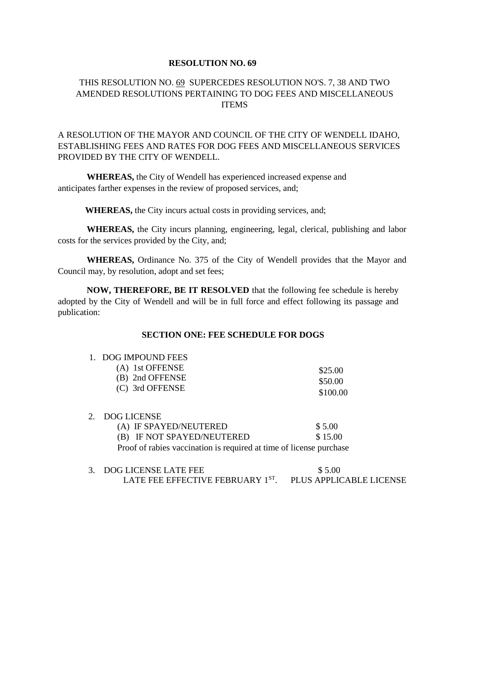#### **RESOLUTION NO. 69**

# THIS RESOLUTION NO. 69 SUPERCEDES RESOLUTION NO'S. 7, 38 AND TWO AMENDED RESOLUTIONS PERTAINING TO DOG FEES AND MISCELLANEOUS **ITEMS**

# A RESOLUTION OF THE MAYOR AND COUNCIL OF THE CITY OF WENDELL IDAHO, ESTABLISHING FEES AND RATES FOR DOG FEES AND MISCELLANEOUS SERVICES PROVIDED BY THE CITY OF WENDELL.

**WHEREAS,** the City of Wendell has experienced increased expense and anticipates farther expenses in the review of proposed services, and;

**WHEREAS,** the City incurs actual costs in providing services, and;

**WHEREAS,** the City incurs planning, engineering, legal, clerical, publishing and labor costs for the services provided by the City, and;

**WHEREAS,** Ordinance No. 375 of the City of Wendell provides that the Mayor and Council may, by resolution, adopt and set fees;

**NOW, THEREFORE, BE IT RESOLVED** that the following fee schedule is hereby adopted by the City of Wendell and will be in full force and effect following its passage and publication:

### **SECTION ONE: FEE SCHEDULE FOR DOGS**

### 1. DOG IMPOUND FEES

| (A) 1st OFFENSE | \$25.00  |
|-----------------|----------|
| (B) 2nd OFFENSE | \$50.00  |
| (C) 3rd OFFENSE | \$100.00 |

### 2. DOG LICENSE

| (A) IF SPAYED/NEUTERED                                              | \$ 5.00 |  |
|---------------------------------------------------------------------|---------|--|
| (B) IF NOT SPAYED/NEUTERED                                          | \$15.00 |  |
| Proof of rabies vaccination is required at time of license purchase |         |  |

| 3. DOG LICENSE LATE FEE          | \$5.00                  |
|----------------------------------|-------------------------|
| LATE FEE EFFECTIVE FEBRUARY 1ST. | PLUS APPLICABLE LICENSE |